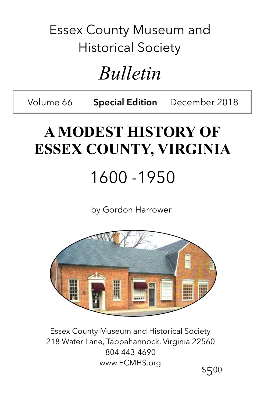### Essex County Museum and Historical Society

## *Bulletin*

Volume 66 **Special Edition** December 2018

## **A MODEST HISTORY OF ESSEX COUNTY, VIRGINIA**

1600 -1950

by Gordon Harrower



Essex County Museum and Historical Society 218 Water Lane, Tappahannock, Virginia 22560 804 443-4690 www.ECMHS.org

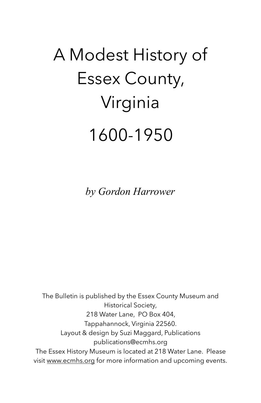# A Modest History of Essex County, Virginia 1600-1950

*by Gordon Harrower*

The Bulletin is published by the Essex County Museum and Historical Society, 218 Water Lane, PO Box 404, Tappahannock, Virginia 22560. Layout & design by Suzi Maggard, Publications publications@ecmhs.org The Essex History Museum is located at 218 Water Lane. Please visit [www.ecmhs.org](http://www.ecmhs.org) for more information and upcoming events.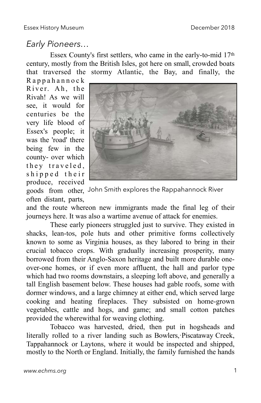#### *Early Pioneers…*

Essex County's first settlers, who came in the early-to-mid 17th century, mostly from the British Isles, got here on small, crowded boats that traversed the stormy Atlantic, the Bay, and finally, the

R a p p a h a n n o c k River. Ah, the Rivah! As we will see, it would for centuries be the very life blood of Essex's people; it was the 'road' there being few in the county- over which they traveled, shipped their produce, received



goods from other, John Smith explores the Rappahannock Riveroften distant, parts,

and the route whereon new immigrants made the final leg of their journeys here. It was also a wartime avenue of attack for enemies.

These early pioneers struggled just to survive. They existed in shacks, lean-tos, pole huts and other primitive forms collectively known to some as Virginia houses, as they labored to bring in their crucial tobacco crops. With gradually increasing prosperity, many borrowed from their Anglo-Saxon heritage and built more durable oneover-one homes, or if even more affluent, the hall and parlor type which had two rooms downstairs, a sleeping loft above, and generally a tall English basement below. These houses had gable roofs, some with dormer windows, and a large chimney at either end, which served large cooking and heating fireplaces. They subsisted on home-grown vegetables, cattle and hogs, and game; and small cotton patches provided the wherewithal for weaving clothing.

Tobacco was harvested, dried, then put in hogsheads and literally rolled to a river landing such as Bowlers,·Piscataway Creek, Tappahannock or Laytons, where it would be inspected and shipped, mostly to the North or England. Initially, the family furnished the hands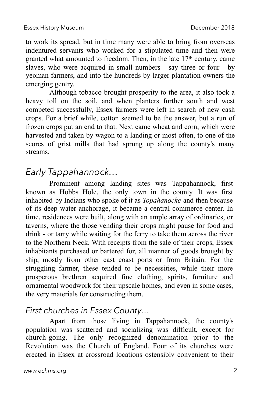to work its spread, but in time many were able to bring from overseas indentured servants who worked for a stipulated time and then were granted what amounted to freedom. Then, in the late 17th century, came slaves, who were acquired in small numbers - say three or four - by yeoman farmers, and into the hundreds by larger plantation owners the emerging gentry.

Although tobacco brought prosperity to the area, it also took a heavy toll on the soil, and when planters further south and west competed successfully, Essex farmers were left in search of new cash crops. For a brief while, cotton seemed to be the answer, but a run of frozen crops put an end to that. Next came wheat and corn, which were harvested and taken by wagon to a landing or most often, to one of the scores of grist mills that had sprung up along the county's many streams.

#### *Early Tappahannock…*

Prominent among landing sites was Tappahannock, first known as Hobbs Hole, the only town in the county. It was first inhabited by Indians who spoke of it as *Topahanocke* and then because of its deep water anchorage, it became a central commerce center. In time, residences were built, along with an ample array of ordinaries, or taverns, where the those vending their crops might pause for food and drink - or tarry while waiting for the ferry to take them across the river to the Northern Neck. With receipts from the sale of their crops, Essex inhabitants purchased or bartered for, all manner of goods brought by ship, mostly from other east coast ports or from Britain. For the struggling farmer, these tended to be necessities, while their more prosperous brethren acquired fine clothing, spirits, furniture and ornamental woodwork for their upscale homes, and even in some cases, the very materials for constructing them.

#### *First churches in Essex County…*

Apart from those living in Tappahannock, the county's population was scattered and socializing was difficult, except for church-going. The only recognized denomination prior to the Revolution was the Church of England. Four of its churches were erected in Essex at crossroad locations ostensibly convenient to their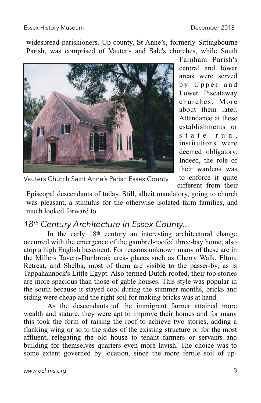widespread parishioners. Up-county, St Anne's, formerly Sittingbourne Parish, was comprised of Vauter's and Sale's churches, while South



Farnham Parish's central and lower areas were served by Upper and Lower Piscataway churches. More about them later. Attendance at these establishments or s t a t e - r u n , institutions were deemed obligatory. Indeed, the role of their wardens was to enforce it quite different from their

Vauters Church Saint Anne's Parish Essex County

Episcopal descendants of today. Still, albeit mandatory, going to church was pleasant, a stimulus for the otherwise isolated farm families, and much looked forward to.

#### *18th Century Architecture in Essex County...*

In the early 18th century an interesting architectural change occurred with the emergence of the gambrel-roofed three-bay home, also atop a high English basement. For reasons unknown many of these are in the Millers Tavern-Dunbrook area- places such as Cherry Walk, Elton, Retreat, and Shelba, most of them are visible to the passer-by, as is Tappahannock's Little Egypt. Also termed Dutch-roofed, their top stories are more spacious than those of gable houses. This style was popular in the south because it stayed cool during the summer months, bricks and siding were cheap and the right soil for making bricks was at hand.

As the descendants of the immigrant farmer attained more wealth and stature, they were apt to improve their homes and for many this took the form of raising the roof to achieve two stories, adding a flanking wing or so to the sides of the existing structure or for the most affluent, relegating the old house to tenant farmers or servants and building for themselves quarters even more lavish. The choice was to some extent governed by location, since the more fertile soil of up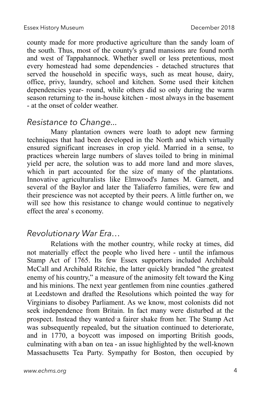county made for more productive agriculture than the sandy loam of the south. Thus, most of the county's grand mansions are found north and west of Tappahannock. Whether swell or less pretentious, most every homestead had some dependencies - detached structures that served the household in specific ways, such as meat house, dairy, office, privy, laundry, school and kitchen. Some used their kitchen dependencies year- round, while others did so only during the warm season returning to the in-house kitchen - most always in the basement - at the onset of colder weather.

#### *Resistance to Change...*

Many plantation owners were loath to adopt new farming techniques that had been developed in the North and which virtually ensured significant increases in crop yield. Married in a sense, to practices wherein large numbers of slaves toiled to bring in minimal yield per acre, the solution was to add more land and more slaves, which in part accounted for the size of many of the plantations. Innovative agriculturalists like Elmwood's James M. Garnett, and several of the Baylor and later the Taliaferro families, were few and their prescience was not accepted by their peers. A little further on, we will see how this resistance to change would continue to negatively effect the area' s economy.

#### *Revolutionary War Era…*

Relations with the mother country, while rocky at times, did not materially effect the people who lived here - until the infamous Stamp Act of 1765. Its few Essex supporters included Archibald McCall and Archibald Ritchie, the latter quickly branded "the greatest enemy of his country," a measure of the animosity felt toward the King and his minions. The next year gentlemen from nine counties .gathered at Leedstown and drafted the Resolutions which pointed the way for Virginians to disobey Parliament. As we know, most colonists did not seek independence from Britain. In fact many were disturbed at the prospect. Instead they wanted·a fairer shake from her. The Stamp Act was subsequently repealed, but the situation continued to deteriorate, and in 1770, a boycott was imposed on importing British goods, culminating with a ban on tea - an issue highlighted by the well-known Massachusetts Tea Party. Sympathy for Boston, then occupied by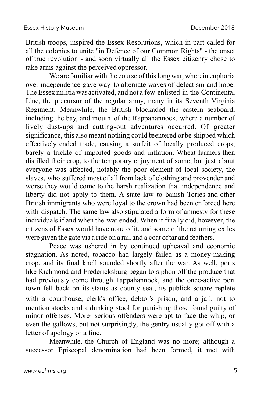British troops, inspired the Essex Resolutions, which in part called for all the colonies to unite "in Defence of our Common Rights" - the onset of true revolution - and soon virtually all the Essex citizenry chose to take arms against the perceived oppressor.

We are familiar with the course of this long war, wherein euphoria over independence gave way to alternate waves of defeatism and hope. The Essex militia was activated, and not a few enlisted in the Continental Line, the precursor of the regular army, many in its Seventh Virginia Regiment. Meanwhile, the British blockaded the eastern seaboard, including the bay, and mouth of the Rappahannock, where a number of lively dust-ups and cutting-out adventures occurred. Of greater significance, this also meant nothing could be entered or be shipped which effectively ended trade, causing a surfeit of locally produced crops, barely a trickle of imported goods and inflation. Wheat farmers then distilled their crop, to the temporary enjoyment of some, but just about everyone was affected, notably the poor element of local society, the slaves, who suffered most of all from lack of clothing and provender and worse they would come to the harsh realization that independence and liberty did not apply to them. A state law to banish Tories and other British immigrants who were loyal to the crown had been enforced here with dispatch. The same law also stipulated a form of amnesty for these individuals if and when the war ended. When it finally did, however, the citizens of Essex would have none of it, and some of the returning exiles were given the gate via a ride on a rail and a coat oftar and feathers.

Peace was ushered in by continued upheaval and economic stagnation. As noted, tobacco had largely failed as a money-making crop, and its final knell sounded shortly after the war. As well, ports like Richmond and Fredericksburg began to siphon off the produce that had previously come through Tappahannock, and the once-active port town fell back on its-status as county seat, its publick square replete with a courthouse, clerk's office, debtor's prison, and a jail, not to mention stocks and a dunking stool for punishing those found guilty of minor offenses. More· serious offenders were apt to face the whip, or even the gallows, but not surprisingly, the gentry usually got off with a letter of apology or a fine.

Meanwhile, the Church of England was no more; although a successor Episcopal denomination had been formed, it met with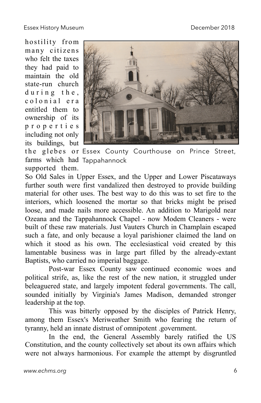hostility from many citizens who felt the taxes they had paid to maintain the old state-run church  $d$ uring the, c o l o n i a l e r a entitled them to ownership of its p r o p e r t i e s including not only its buildings, but farms which had Tappahannocksupported them.



the glebes or Essex County Courthouse on Prince Street,

So Old Sales in Upper Essex, and the Upper and Lower Piscataways further south were first vandalized then destroyed to provide building material for other uses. The best way to do this was to set fire to the interiors, which loosened the mortar so that bricks might be prised loose, and made nails more accessible. An addition to Marigold near Ozeana and the Tappahannock Chapel - now Modem Cleaners - were built of these raw materials. Just Vauters Church in Champlain escaped such a fate, and only because a loyal parishioner claimed the land on which it stood as his own. The ecclesiastical void created by this lamentable business was in large part filled by the already-extant Baptists, who carried no imperial baggage.

Post-war Essex County saw continued economic woes and political strife, as, like the rest of the new nation, it struggled under beleaguered state, and largely impotent federal governments. The call, sounded initially by Virginia's James Madison, demanded stronger leadership at the top.

This was bitterly opposed by the disciples of Patrick Henry, among them Essex's Meriweather Smith who fearing the return of tyranny, held an innate distrust of omnipotent .government.

In the end, the General Assembly barely ratified the US Constitution, and the county collectively set about its own affairs which were not always harmonious. For example the attempt by disgruntled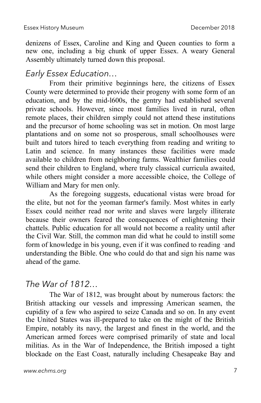denizens of Essex, Caroline and King and Queen counties to form a new one, including a big chunk of upper Essex. A weary General Assembly ultimately turned down this proposal.

#### *Early Essex Education…*

From their primitive beginnings here, the citizens of Essex County were determined to provide their progeny with some form of an education, and by the mid-l600s, the gentry had established several private schools. However, since most families lived in rural, often remote places, their children simply could not attend these institutions and the precursor of home schooling was set in motion. On most large plantations and on some not so prosperous, small schoolhouses were built and tutors hired to teach everything from reading and writing to Latin and science. In many instances these facilities were made available to children from neighboring farms. Wealthier families could send their children to England, where truly classical curricula awaited, while others might consider a more accessible choice, the College of William and Mary for men only.

As the foregoing suggests, educational vistas were broad for the elite, but not for the yeoman farmer's family. Most whites in early Essex could neither read nor write and slaves were largely illiterate because their owners feared the consequences of enlightening their chattels. Public education for all would not become a reality until after the Civil War. Still, the common man did what he could to instill some form of knowledge in bis young, even if it was confined to reading ·and understanding the Bible. One who could do that and sign his name was ahead of the game.

#### *The War of 1812…*

The War of 1812, was brought about by numerous factors: the British attacking our vessels and impressing American seamen, the cupidity of a few who aspired to seize Canada and so on. In any event the United States was ill-prepared to take on the might of the British Empire, notably its navy, the largest and finest in the world, and the American armed forces were comprised primarily of state and local militias. As in the War of Independence, the British imposed a tight blockade on the East Coast, naturally including Chesapeake Bay and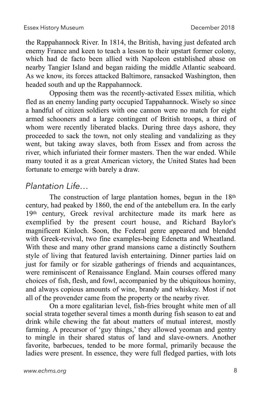the Rappahannock River. In 1814, the British, having just defeated arch enemy France and keen to teach a lesson to their upstart former colony, which had de facto been allied with Napoleon established abase on nearby Tangier Island and began raiding the middle Atlantic seaboard. As we know, its forces attacked Baltimore, ransacked Washington, then headed south and up the Rappahannock.

Opposing them was the recently-activated Essex militia, which fled as an enemy landing party occupied Tappahannock. Wisely so since a handful of citizen soldiers with one cannon were no match for eight armed schooners and a large contingent of British troops, a third of whom were recently liberated blacks. During three days ashore, they proceeded to sack the town, not only stealing and vandalizing as they went, but taking away slaves, both from Essex and from across the river, which infuriated their former masters. Then the war ended. While many touted it as a great American victory, the United States had been fortunate to emerge with barely a draw.

#### *Plantation Life…*

The construction of large plantation homes, begun in the 18th century, had peaked by 1860, the end of the antebellum era. In the early 19th century, Greek revival architecture made its mark here as exemplified by the present court house, and Richard Baylor's magnificent Kinloch. Soon, the Federal genre appeared and blended with Greek-revival, two fine examples-being Edenetta and Wheatland. With these and many other grand mansions came a distinctly Southern style of living that featured lavish entertaining. Dinner parties laid on just for family or for sizable gatherings of friends and acquaintances, were reminiscent of Renaissance England. Main courses offered many choices of fish, flesh, and fowl, accompanied by the ubiquitous hominy, and always copious amounts of wine, brandy and whiskey. Most if not all of the provender came from the property or the nearby river.

On a more egalitarian level, fish-fries brought white men of all social strata together several times a month during fish season to eat and drink while chewing the fat about matters of mutual interest, mostly farming. A precursor of 'guy things,' they allowed yeoman and gentry to mingle in their shared status of land and slave-owners. Another favorite, barbecues, tended to be more formal, primarily because the ladies were present. In essence, they were full fledged parties, with lots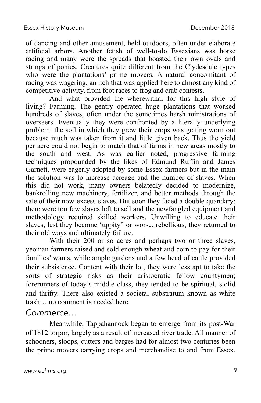of dancing and other amusement, held outdoors, often under elaborate artificial arbors. Another fetish of well-to-do Essexians was horse racing and many were the spreads that boasted their own ovals and strings of ponies. Creatures quite different from the Clydesdale types who were the plantations' prime movers. A natural concomitant of racing was wagering, an itch that was applied here to almost any kind of competitive activity, from foot racesto frog and crab contests.

And what provided the wherewithal for this high style of living? Farming. The gentry operated huge plantations that worked hundreds of slaves, often under the sometimes harsh ministrations of overseers. Eventually they were confronted by a literally underlying problem: the soil in which they grew their crops was getting worn out because much was taken from it and little given back. Thus the yield per acre could not begin to match that of farms in new areas mostly to the south and west. As was earlier noted, progressive farming techniques propounded by the likes of Edmund Ruffin and James Garnett, were eagerly adopted by some Essex farmers but in the main the solution was to increase acreage and the number of slaves. When this did not work, many owners belatedly decided to modernize, bankrolling new machinery, fertilizer, and better methods through the sale of their now-excess slaves. But soon they faced a double quandary: there were too few slaves left to sell and the newfangled equipment and methodology required skilled workers. Unwilling to educate their slaves, lest they become 'uppity" or worse, rebellious, they returned to their old ways and ultimately failure.

With their 200 or so acres and perhaps two or three slaves, yeoman farmers raised and sold enough wheat and corn to pay for their families' wants, while ample gardens and a few head of cattle provided their subsistence. Content with their lot, they were less apt to take the sorts of strategic risks as their aristocratic fellow countymen; forerunners of today's middle class, they tended to be spiritual, stolid and thrifty. There also existed a societal substratum known as white trash… no comment is needed here.

#### *Commerce…*

Meanwhile, Tappahannock began to emerge from its post-War of 1812 torpor, largely as a result of increased river trade. All manner of schooners, sloops, cutters and barges had for almost two centuries been the prime movers carrying crops and merchandise to and from Essex.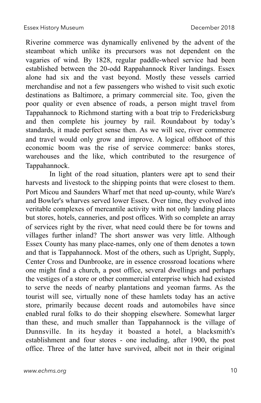Riverine commerce was dynamically enlivened by the advent of the steamboat which unlike its precursors was not dependent on the vagaries of wind. By 1828, regular paddle-wheel service had been established between the 20-odd Rappahannock River landings. Essex alone had six and the vast beyond. Mostly these vessels carried merchandise and not a few passengers who wished to visit such exotic destinations as Baltimore, a primary commercial site. Too, given the poor quality or even absence of roads, a person might travel from Tappahannock to Richmond starting with a boat trip to Fredericksburg and then complete his journey by rail. Roundabout by today's standards, it made perfect sense then. As we will see, river commerce and travel would only grow and improve. A logical offshoot of this economic boom was the rise of service commerce: banks stores, warehouses and the like, which contributed to the resurgence of Tappahannock.

In light of the road situation, planters were apt to send their harvests and livestock to the shipping points that were closest to them. Port Micou and Saunders Wharf met that need up-county, while Ware's and Bowler's wharves served lower Essex. Over time, they evolved into veritable complexes of mercantile activity with not only landing places but stores, hotels, canneries, and post offices. With so complete an array of services right by the river, what need could there be for towns and villages further inland? The short answer was very little. Although Essex County has many place-names, only one of them denotes a town and that is Tappahannock. Most of the others, such as Upright, Supply, Center Cross and Dunbrooke, are in essence crossroad locations where one might find a church, a post office, several dwellings and perhaps the vestiges of a store or other commercial enterprise which had existed to serve the needs of nearby plantations and yeoman farms. As the tourist will see, virtually none of these hamlets today has an active store, primarily because decent roads and automobiles have since enabled rural folks to do their shopping elsewhere. Somewhat larger than these, and much smaller than Tappahannock is the village of Dunnsville. In its heyday it boasted a hotel, a blacksmith's establishment and four stores - one including, after 1900, the post office. Three of the latter have survived, albeit not in their original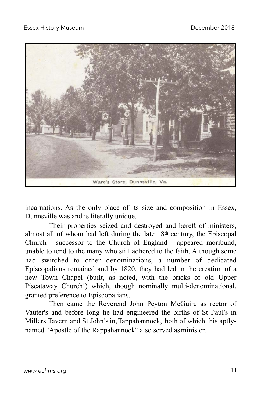

incarnations. As the only place of its size and composition in Essex, Dunnsville was and is literally unique.

Their properties seized and destroyed and bereft of ministers, almost all of whom had left during the late 18th century, the Episcopal Church - successor to the Church of England - appeared moribund, unable to tend to the many who still adhered to the faith. Although some had switched to other denominations, a number of dedicated Episcopalians remained and by 1820, they had led in the creation of a new Town Chapel (built, as noted, with the bricks of old Upper Piscataway Church!) which, though nominally multi-denominational, granted preference to Episcopalians.

Then came the Reverend John Peyton McGuire as rector of Vauter's and before long he had engineered the births of St Paul's in Millers Tavern and St John's in,Tappahannock, both of which this aptlynamed "Apostle of the Rappahannock" also served asminister.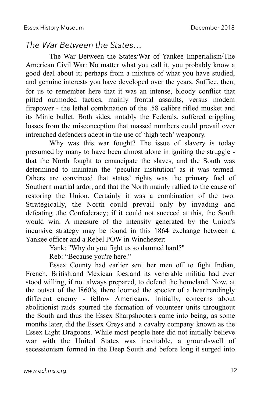#### *The War Between the States…*

The War Between the States/War of Yankee Imperialism/The American Civil War: No matter what you call it, you probably know a good deal about it; perhaps from a mixture of what you have studied, and genuine interests you have developed over the years. Suffice, then, for us to remember here that it was an intense, bloody conflict that pitted outmoded tactics, mainly frontal assaults, versus modem firepower - the lethal combination of the .58 calibre rifled musket and its Minie bullet. Both sides, notably the Federals, suffered crippling losses from the misconception that massed numbers could prevail over intrenched defenders adept in the use of 'high tech' weaponry.

Why was this war fought? The issue of slavery is today presumed by many to have been almost alone in igniting the struggle that the North fought to emancipate the slaves, and the South was determined to maintain the 'peculiar institution' as it was termed. Others are convinced that states' rights was the primary fuel of Southern martial ardor, and that the North mainly rallied to the cause of restoring the Union. Certainly it was a combination of the two. Strategically, the North could prevail only by invading and defeating .the Confederacy; if it could not succeed at this, the South would win. A measure of the intensity generated by the Union's incursive strategy may be found in this 1864 exchange between a Yankee officer and a Rebel POW in Winchester:

Yank: "Why do you fight us so damned hard?"

Reb: "Because you're here."

Essex County had earlier sent her men off to fight Indian, French, British:and Mexican foes:and its venerable militia had ever stood willing, if not always prepared, to defend the homeland. Now, at the outset of the l860's, there loomed the specter of a heartrendingly different enemy - fellow Americans. Initially, concerns about abolitionist raids spurred the formation of volunteer units throughout the South and thus the Essex Sharpshooters came into being, as some months later, did the Essex Greys and a cavalry company known as the Essex Light Dragoons. While most people here did not initially believe war with the United States was inevitable, a groundswell of secessionism formed in the Deep South and before long it surged into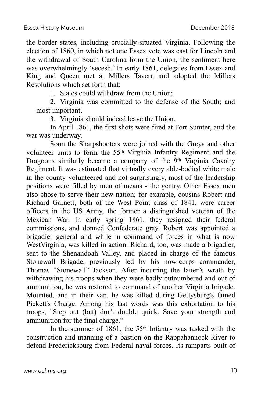the border states, including crucially-situated Virginia. Following the election of 1860, in which not one Essex vote was cast for Lincoln and the withdrawal of South Carolina from the Union, the sentiment here was overwhelmingly 'secesh.' In early 1861, delegates from Essex and King and Queen met at Millers Tavern and adopted the Millers Resolutions which set forth that:

1. States could withdraw from the Union;

2. Virginia was committed to the defense of the South; and most important,

3. Virginia should indeed leave the Union.

In April 1861, the first shots were fired at Fort Sumter, and the war was underway.

Soon the Sharpshooters were joined with the Greys and other volunteer units to form the 55th Virginia Infantry Regiment and the Dragoons similarly became a company of the 9th Virginia Cavalry Regiment. It was estimated that virtually every able-bodied white male in the county volunteered and not surprisingly, most of the leadership positions were filled by men of means - the gentry. Other Essex men also chose to serve their new nation; for example, cousins Robert and Richard Garnett, both of the West Point class of 1841, were career officers in the US Army, the former a distinguished veteran of the Mexican War. In early spring 1861, they resigned their federal commissions, and donned Confederate gray. Robert was appointed a brigadier general and while in command of forces in what is now WestVirginia, was killed in action. Richard, too, was made a brigadier, sent to the Shenandoah Valley, and placed in charge of the famous Stonewall Brigade, previously led by his now-corps commander, Thomas "Stonewall" Jackson. After incurring the latter's wrath by withdrawing his troops when they were badly outnumbered and out of ammunition, he was restored to command of another Virginia brigade. Mounted, and in their van, he was killed during Gettysburg's famed Pickett's Charge. Among his last words was this exhortation to his troops, "Step out (but) don't double quick. Save your strength and ammunition for the final charge."

In the summer of 1861, the 55th Infantry was tasked with the construction and manning of a bastion on the Rappahannock River to defend Fredericksburg from Federal naval forces. Its ramparts built of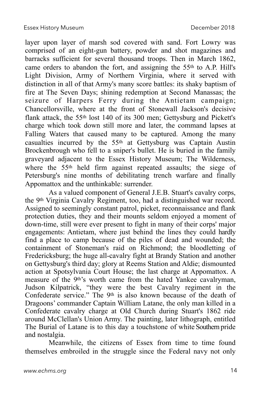layer upon layer of marsh sod covered with sand. Fort Lowry was comprised of an eight-gun battery, powder and shot magazines and barracks sufficient for several thousand troops. Then in March 1862, came orders to abandon the fort, and assigning the 55th to A.P. Hill's Light Division, Army of Northern Virginia, where it served with distinction in all of that Army's many score battles: its shaky baptism of fire at The Seven Days; shining redemption at Second Manassas; the seizure of Harpers Ferry during the Antietam campaign; Chancellorsville, where at the front of Stonewall Jackson's decisive flank attack, the 55th lost 140 of its 300 men; Gettysburg and Pickett's charge which took down still more and later, the command lapses at Falling Waters that caused many to be captured. Among the many casualties incurred by the 55th at Gettysburg was Captain Austin Brockenbrough who fell to a sniper's bullet. He is buried in the family graveyard adjacent to the Essex History Museum; The Wilderness, where the 55<sup>th</sup> held firm against repeated assaults; the siege of Petersburg's nine months of debilitating trench warfare and finally Appomattox and the unthinkable: surrender.

As a valued component of General J.E.B. Stuart's cavalry corps, the 9th Virginia Cavalry Regiment, too, had a distinguished war record. Assigned to seemingly constant patrol, picket, reconnaissance and flank protection duties, they and their mounts seldom enjoyed a moment of down-time, still were ever present to fight in many of their corps' major engagements: Antietam, where just behind the lines they could hardly find a place to camp because of the piles of dead and wounded; the containment of Stoneman's raid on Richmond; the bloodletting of Fredericksburg; the huge all-cavalry fight at Brandy Station and another on Gettysburg's third day; glory at Reems Station and Aldie; dismounted action at Spotsylvania Court House; the last charge at Appomattox. A measure of the 9<sup>th</sup>'s worth came from the hated Yankee cavalryman, Judson Kilpatrick, "they were the best Cavalry regiment in the Confederate service." The 9th is also known because of the death of Dragoons' commander Captain William Latane, the only man killed in a Confederate cavalry charge at Old Church during Stuart's 1862 ride around McClellan's Union Army. The painting, later lithograph, entitled The Burial of Latane is to this day a touchstone of white Southern pride and nostalgia.

Meanwhile, the citizens of Essex from time to time found themselves embroiled in the struggle since the Federal navy not only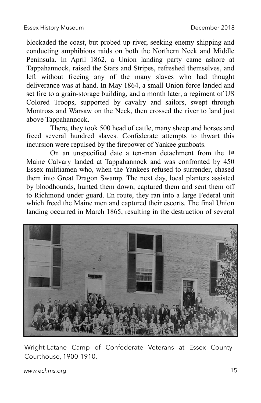blockaded the coast, but probed up-river, seeking enemy shipping and conducting amphibious raids on both the Northern Neck and Middle Peninsula. In April 1862, a Union landing party came ashore at Tappahannock, raised the Stars and Stripes, refreshed themselves, and left without freeing any of the many slaves who had thought deliverance was at hand. In May 1864, a small Union force landed and set fire to a grain-storage building, and a month later, a regiment of US Colored Troops, supported by cavalry and sailors, swept through Montross and Warsaw on the Neck, then crossed the river to land just above Tappahannock.

There, they took 500 head of cattle, many sheep and horses and freed several hundred slaves. Confederate attempts to thwart this incursion were repulsed by the firepower of Yankee gunboats.

On an unspecified date a ten-man detachment from the 1st Maine Calvary landed at Tappahannock and was confronted by 450 Essex militiamen who, when the Yankees refused to surrender, chased them into Great Dragon Swamp. The next day, local planters assisted by bloodhounds, hunted them down, captured them and sent them off to Richmond under guard. En route, they ran into a large Federal unit which freed the Maine men and captured their escorts. The final Union landing occurred in March 1865, resulting in the destruction of several



Wright-Latane Camp of Confederate Veterans at Essex County Courthouse, 1900-1910.

*[www.echms.org](http://www.echms.org)* 15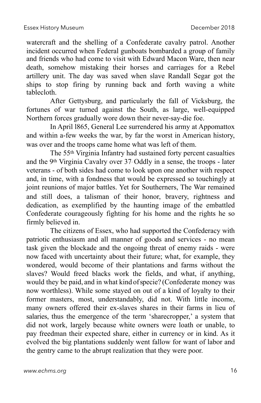watercraft and the shelling of a Confederate cavalry patrol. Another incident occurred when Federal gunboats bombarded a group of family and friends who had come to visit with Edward Macon Ware, then near death, somehow mistaking their horses and carriages for a Rebel artillery unit. The day was saved when slave Randall Segar got the ships to stop firing by running back and forth waving a white tablecloth.

After Gettysburg, and particularly the fall of Vicksburg, the fortunes of war turned against the South, as large, well-equipped Northern forces gradually wore down their never-say-die foe.

In April l865, General Lee surrendered his army at Appomattox and within a-few weeks the war, by far the worst in American history, was over and the troops came home what was left of them.

The 55th Virginia Infantry had sustained forty percent casualties and the 9th Virginia Cavalry over 37. Oddly in a sense, the troops - later veterans - of both sides had come to look upon one another with respect and, in time, with a fondness that would be expressed so touchingly at joint reunions of major battles. Yet for Southerners, The War remained and still does, a talisman of their honor, bravery, rightness and dedication, as exemplified by the haunting image of the embattled Confederate courageously fighting for his home and the rights he so firmly believed in.

The citizens of Essex, who had supported the Confederacy with patriotic enthusiasm and all manner of goods and services - no mean task given the blockade and the ongoing threat of enemy raids - were now faced with uncertainty about their future; what, for example, they wondered, would become of their plantations and farms without the slaves? Would freed blacks work the fields, and what, if anything, would they be paid, and in what kind ofspecie? (Confederate money was now worthless). While some stayed on out of a kind of loyalty to their former masters, most, understandably, did not. With little income, many owners offered their ex-slaves shares in their farms in lieu of salaries, thus the emergence of the term 'sharecropper,' a system that did not work, largely because white owners were loath or unable, to pay freedman their expected share, either in currency or in kind. As it evolved the big plantations suddenly went fallow for want of labor and the gentry came to the abrupt realization that they were poor.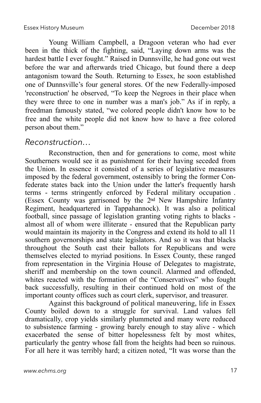Young William Campbell, a Dragoon veteran who had ever been in the thick of the fighting, said, "Laying down arms was the hardest battle I ever fought." Raised in Dunnsville, he had gone out west before the war and afterwards tried Chicago, but found there a deep antagonism toward the South. Returning to Essex, he soon established one of Dunnsville's four general stores. Of the new Federally-imposed 'reconstruction' he observed, "To keep the Negroes in their place when they were three to one in number was a man's job." As if in reply, a freedman famously stated, "we colored people didn't know how to be free and the white people did not know how to have a free colored person about them."

#### *Reconstruction…*

Reconstruction, then and for generations to come, most white Southerners would see it as punishment for their having seceded from the Union. In essence it consisted of a series of legislative measures imposed by the federal government, ostensibly to bring the former Confederate states back into the Union under the latter's frequently harsh terms - terms stringently enforced by Federal military occupation . (Essex County was garrisoned by the 2nd New Hampshire Infantry Regiment, headquartered in Tappahannock). It was also a political football, since passage of legislation granting voting rights to blacks almost all of whom were illiterate - ensured that the Republican party would maintain its majority in the Congress and extend its hold to all 11 southern governorships and state legislators. And so it was that blacks throughout the South cast their ballots for Republicans and were themselves elected to myriad positions. In Essex County, these ranged from representation in the Virginia House of Delegates to magistrate, sheriff and membership on the town council. Alarmed and offended, whites reacted with the formation of the "Conservatives" who fought back successfully, resulting in their continued hold on most of the important county offices such as court clerk, supervisor, and treasurer.

Against this background of political maneuvering, life in Essex County boiled down to a struggle for survival. Land values fell dramatically, crop yields similarly plummeted and many were reduced to subsistence farming - growing barely enough to stay alive - which exacerbated the sense of bitter hopelessness felt by most whites, particularly the gentry whose fall from the heights had been so ruinous. For all here it was terribly hard; a citizen noted, "It was worse than the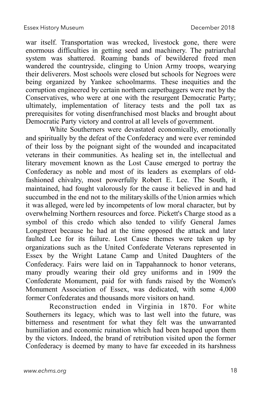war itself. Transportation was wrecked, livestock gone, there were enormous difficulties in getting seed and machinery. The patriarchal system was shattered. Roaming bands of bewildered freed men wandered the countryside, clinging to Union Army troops, wearying their deliverers. Most schools were closed but schools for Negroes were being organized by Yankee schoolmarms. These inequities and the corruption engineered by certain northern carpetbaggers were met by the Conservatives, who were at one with the resurgent Democratic Party; ultimately, implementation of literacy tests and the poll tax as prerequisites for voting disenfranchised most blacks and brought about Democratic Party victory and control at all levels of government.

White Southerners were devastated economically, emotionally and spiritually by the defeat of the Confederacy and were ever reminded of their loss by the poignant sight of the wounded and incapacitated veterans in their communities. As healing set in, the intellectual and literary movement known as the Lost Cause emerged to portray the Confederacy as noble and most of its leaders as exemplars of oldfashioned chivalry, most powerfully Robert E. Lee. The South, it maintained, had fought valorously for the cause it believed in and had succumbed in the end not to the military skills of the Union armies which it was alleged, were led by incompetents of low moral character, but by overwhelming Northern resources and force. Pickett's Charge stood as a symbol of this credo which also tended to vilify General James Longstreet because he had at the time opposed the attack and later faulted Lee for its failure. Lost Cause themes were taken up by organizations such as the United Confederate Veterans represented in Essex by the Wright Latane Camp and United Daughters of the Confederacy. Fairs were laid on in Tappahannock to honor veterans, many proudly wearing their old grey uniforms and in 1909 the Confederate Monument, paid for with funds raised by the Women's Monument Association of Essex, was dedicated, with some 4,000 former Confederates and thousands more visitors on hand.

Reconstruction ended in Virginia in 1870. For white Southerners its legacy, which was to last well into the future, was bitterness and resentment for what they felt was the unwarranted humiliation and economic ruination which had been heaped upon them by the victors. Indeed, the brand of retribution visited upon the former Confederacy is deemed by many to have far exceeded in its harshness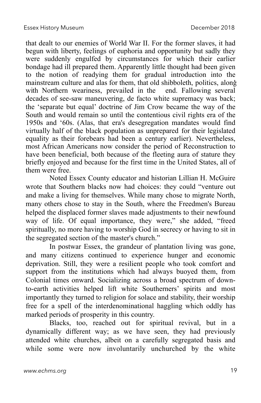that dealt to our enemies of World War II. For the former slaves, it had begun with liberty, feelings of euphoria and opportunity but sadly they were suddenly engulfed by circumstances for which their earlier bondage had ill prepared them. Apparently little thought had been given to the notion of readying them for gradual introduction into the mainstream culture and alas for them, that old shibboleth, politics, along' with Northern weariness, prevailed in the end. Fallowing several decades of see-saw maneuvering, de facto white supremacy was back; the 'separate but equal' doctrine of Jim Crow became the way of the South and would remain so until the contentious civil rights era of the 1950s and '60s. (Alas, that era's desegregation mandates would find virtually half of the black population as unprepared for their legislated equality as their forebears had been a century earlier). Nevertheless, most African Americans now consider the period of Reconstruction to have been beneficial, both because of the fleeting aura of stature they briefly enjoyed and because for the first time in the United States, all of them were free.

Noted Essex County educator and historian Lillian H. McGuire wrote that Southern blacks now had choices: they could "venture out and make a living for themselves. While many chose to migrate North, many others chose to stay in the South, where the Freedmen's Bureau helped the displaced former slaves made adjustments to their newfound way of life. Of equal importance, they were," she added, "freed spiritually, no more having to worship God in secrecy or having to sit in the segregated section of the master's church."

In postwar Essex, the grandeur of plantation living was gone, and many citizens continued to experience hunger and economic deprivation. Still, they were a resilient people who took comfort and support from the institutions which had always buoyed them, from Colonial times onward. Socializing across a broad spectrum of downto-earth activities helped lift white Southerners' spirits and most importantly they turned to religion for solace and stability, their worship free for a spell of the interdenominational haggling which oddly has marked periods of prosperity in this country.

Blacks, too, reached out for spiritual revival, but in a dynamically different way; as we have seen, they had previously attended white churches, albeit on a carefully segregated basis and while some were now involuntarily unchurched by the white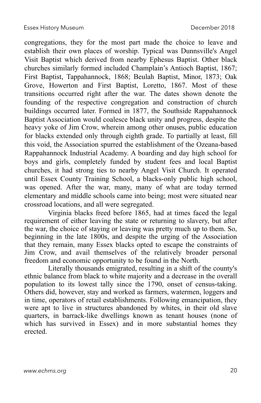congregations, they for the most part made the choice to leave and establish their own places of worship. Typical was Dunnsville's Angel Visit Baptist which derived from nearby Ephesus Baptist. Other black churches similarly formed included Champlain's Antioch Baptist, 1867; First Baptist, Tappahannock, 1868; Beulah Baptist, Minor, 1873; Oak Grove, Howerton and First Baptist, Loretto, 1867. Most of these transitions occurred right after the war. The dates shown denote the founding of the respective congregation and construction of church buildings occurred later. Formed in 1877, the Southside Rappahannock Baptist Association would coalesce black unity and progress, despite the heavy yoke of Jim Crow, wherein among other onuses, public education for blacks extended only through eighth grade. To partially at least, fill this void, the Association spurred the establishment of the Ozeana-based Rappahannock Industrial Academy. A boarding and day high school for boys and girls, completely funded by student fees and local Baptist churches, it had strong ties to nearby Angel Visit Church. It operated until Essex County Training School, a blacks-only public high school, was opened. After the war, many, many of what are today termed elementary and middle schools came into being; most were situated near crossroad locations, and all were segregated.

Virginia blacks freed before 1865, had at times faced the legal requirement of either leaving the state or returning to slavery, but after the war, the choice of staying or leaving was pretty much up to them. So, beginning in the late 1800s, and despite the urging of the Association that they remain, many Essex blacks opted to escape the constraints of Jim Crow, and avail themselves of the relatively broader personal freedom and economic opportunity to be found in the North.

Literally thousands emigrated, resulting in a shift of the county's ethnic balance from black to white majority and a decrease in the overall population to its lowest tally since the 1790, onset of census-taking. Others did, however, stay and worked as farmers, watermen, loggers and in time, operators of retail establishments. Following emancipation, they were apt to live in structures abandoned by whites, in their old slave quarters, in barrack-like dwellings known as tenant houses (none of which has survived in Essex) and in more substantial homes they erected.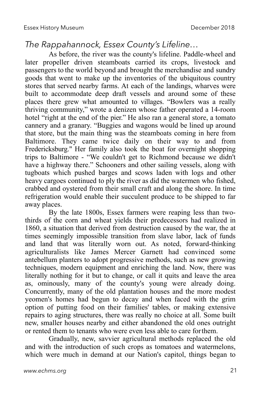#### *The Rappahannock, Essex County's Lifeline…*

As before, the river was the county's lifeline. Paddle-wheel and later propeller driven steamboats carried its crops, livestock and passengers to the world beyond and brought the merchandise and sundry goods that went to make up the inventories of the ubiquitous country stores that served nearby farms. At each of the landings, wharves were built to accommodate deep draft vessels and around some of these places there grew what amounted to villages. "Bowlers was a really thriving community," wrote a denizen whose father operated a 14-room hotel "right at the end of the pier." He also ran a general store, a tomato cannery and a granary. "Buggies and wagons would be lined up around that store, but the main thing was the steamboats coming in here from Baltimore. They came twice daily on their way to and from Fredericksburg." Her family also took the boat for overnight shopping trips to Baltimore - "We couldn't get to Richmond because we didn't have a highway there." Schooners and other sailing vessels, along with tugboats which pushed barges and scows laden with logs and other heavy cargoes continued to ply the river as did the watermen who fished, crabbed and oystered from their small craft and along the shore. In time refrigeration would enable their succulent produce to be shipped to far away places.

By the late 1800s, Essex farmers were reaping less than twothirds of the corn and wheat yields their predecessors had realized in 1860, a situation that derived from destruction caused by the war, the at times seemingly impossible transition from slave labor, lack of funds and land that was literally worn out. As noted, forward-thinking agriculturalists like James Mercer Garnett had convinced some antebellum planters to adopt progressive methods, such as new growing techniques, modern equipment and enriching the land. Now, there was literally nothing for it but to change, or call it quits and leave the area as, ominously, many of the county's young were already doing. Concurrently, many of the old plantation houses and the more modest yeomen's homes had begun to decay and when faced with the grim option of putting food on their families' tables, or making extensive repairs to aging structures, there was really no choice at all. Some built new, smaller houses nearby and either abandoned the old ones outright or rented them to tenants who were even less able to care forthem.

Gradually, new, savvier agricultural methods replaced the old and with the introduction of such crops as tomatoes and watermelons, which were much in demand at our Nation's capitol, things began to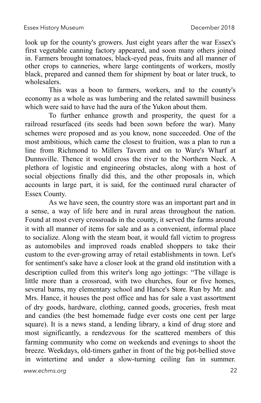look up for the county's growers. Just eight years after the war Essex's first vegetable canning factory appeared, and soon many others joined in. Farmers brought tomatoes, black-eyed peas, fruits and all manner of other crops to canneries, where large contingents of workers, mostly black, prepared and canned them for shipment by boat or later truck, to wholesalers.

This was a boon to farmers, workers, and to the county's economy as a whole as was lumbering and the related sawmill business which were said to have had the aura of the Yukon about them.

To further enhance growth and prosperity, the quest for a railroad resurfaced (its seeds had been sown before the war). Many schemes were proposed and as you know, none succeeded. One of the most ambitious, which came the closest to fruition, was a plan to run a line from Richmond to Millers Tavern and on to Ware's Wharf at Dunnsville. Thence it would cross the river to the Northern Neck. A plethora of logistic and engineering obstacles, along with a host of social objections finally did this, and the other proposals in, which accounts in large part, it is said, for the continued rural character of Essex County.

As we have seen, the country store was an important part and in a sense, a way of life here and in rural areas throughout the nation. Found at most every crossroads in the county, it served the farms around it with all manner of items for sale and as a convenient, informal place to socialize. Along with the steam boat, it would fall victim to progress as automobiles and improved roads enabled shoppers to take their custom to the ever-growing array of retail establishments in town. Let's for sentiment's sake have a closer look at the grand old institution with a description culled from this writer's long ago jottings: "The village is little more than a crossroad, with two churches, four or five homes, several barns, my elementary school and Hance's Store. Run by Mr. and Mrs. Hance, it houses the post office and has for sale a vast assortment of dry goods, hardware, clothing, canned goods, groceries, fresh meat and candies (the best homemade fudge ever costs one cent per large square). It is a news stand, a lending library, a kind of drug store and most significantly, a rendezvous for the scattered members of this farming community who come on weekends and evenings to shoot the breeze. Weekdays, old-timers gather in front of the big pot-bellied stove in wintertime and under a slow-turning ceiling fan in summer.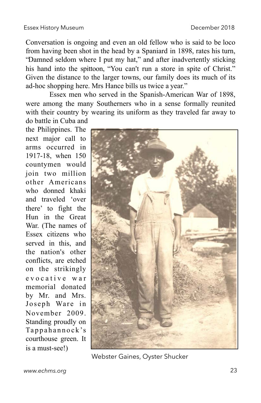Conversation is ongoing and even an old fellow who is said to be loco from having been shot in the head by a Spaniard in 1898, rates his turn, "Damned seldom where I put my hat," and after inadvertently sticking his hand into the spittoon, "You can't run a store in spite of Christ." Given the distance to the larger towns, our family does its much of its ad-hoc shopping here. Mrs Hance bills us twice a year."

Essex men who served in the Spanish-American War of 1898, were among the many Southerners who in a sense formally reunited with their country by wearing its uniform as they traveled far away to do battle in Cuba and

the Philippines. The next major call to arms occurred in 1917-18, when 150 countymen would join two million other Americans who donned khaki and traveled 'over there' to fight the Hun in the Great War. (The names of Essex citizens who served in this, and the nation's other conflicts, are etched on the strikingly e v o c a t i v e w a r memorial donated by Mr. and Mrs. Joseph Ware in November 2009. Standing proudly on Tappahannock 's courthouse green. It is a must-see!)



Webster Gaines, Oyster Shucker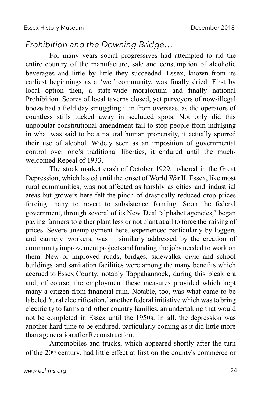#### *Prohibition and the Downing Bridge…*

For many years social progressives had attempted to rid the entire country of the manufacture, sale and consumption of alcoholic beverages and little by little they succeeded. Essex, known from its earliest beginnings as a 'wet' community, was finally dried. First by local option then, a state-wide moratorium and finally national Prohibition. Scores of local taverns closed, yet purveyors of now-illegal booze had a field day smuggling it in from overseas, as did operators of countless stills tucked away in secluded spots. Not only did this unpopular constitutional amendment fail to stop people from indulging in what was said to be a natural human propensity, it actually spurred their use of alcohol. Widely seen as an imposition of governmental control over one's traditional liberties, it endured until the muchwelcomed Repeal of 1933.

The stock market crash of October 1929, ushered in the Great Depression, which lasted until the onset of World WarII. Essex, like most rural communities, was not affected as harshly as cities and industrial areas but growers here felt the pinch of drastically reduced crop prices forcing many to revert to subsistence farming. Soon the federal government, through several of its New Deal 'alphabet agencies,' began paying farmers to either plant less or not plant at all to force the raising of prices. Severe unemployment here, experienced particularly by loggers and cannery workers, was similarly addressed by the creation of community improvement projects and funding the jobs needed to work on them. New or improved roads, bridges, sidewalks, civic and school buildings and sanitation facilities were among the many benefits which accrued to Essex County, notably Tappahannock, during this bleak era and, of course, the employment these measures provided which kept many a citizen from financial ruin. Notable, too, was what came to be labeled 'rural electrification,' another federal initiative which wasto bring electricity to farms and other country families, an undertaking that would not be completed in Essex until the 1950s. In all, the depression was another hard time to be endured, particularly coming as it did little more than a generation after Reconstruction.

Automobiles and trucks, which appeared shortly after the turn of the 20th century, had little effect at first on the county's commerce or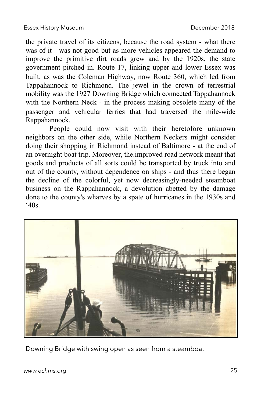the private travel of its citizens, because the road system - what there was of it - was not good but as more vehicles appeared the demand to improve the primitive dirt roads grew and by the 1920s, the state government pitched in. Route 17, linking upper and lower Essex was built, as was the Coleman Highway, now Route 360, which led from Tappahannock to Richmond. The jewel in the crown of terrestrial mobility was the 1927 Downing Bridge which connected Tappahannock with the Northern Neck - in the process making obsolete many of the passenger and vehicular ferries that had traversed the mile-wide Rappahannock.

People could now visit with their heretofore unknown neighbors on the other side, while Northern Neckers might consider doing their shopping in Richmond instead of Baltimore - at the end of an overnight boat trip. Moreover, the.improved road network meant that goods and products of all sorts could be transported by truck into and out of the county, without dependence on ships - and thus there began the decline of the colorful, yet now decreasingly-needed steamboat business on the Rappahannock, a devolution abetted by the damage done to the county's wharves by a spate of hurricanes in the 1930s and  $40s$ .



Downing Bridge with swing open as seen from a steamboat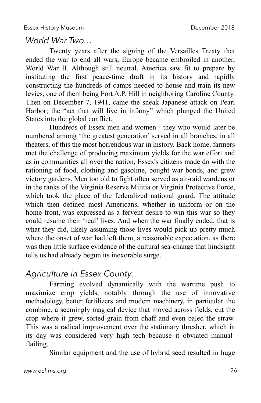#### *World War Two…*

Twenty years after the signing of the Versailles Treaty that ended the war to end all wars, Europe became embroiled in another, World War II. Although still neutral, America saw fit to prepare by instituting the first peace-time draft in its history and rapidly constructing the hundreds of camps needed to house and train its new levies, one of them being Fort A.P. Hill in neighboring Caroline County. Then on December 7, 1941, came the sneak Japanese attack on Pearl Harbor; the "act that will live in infamy" which plunged the United States into the global conflict.

Hundreds of Essex men and women - they who would later be numbered among 'the greatest generation' served in all branches, in all theaters, of this the most horrendous war in history. Back home, farmers met the challenge of producing maximum yields for the war effort and as in communities all over the nation, Essex's citizens made do with the rationing of food, clothing and gasoline, bought war bonds, and grew victory gardens. Men too old to fight often served as air-raid wardens or in the ranks of the Virginia Reserve Militia or Virginia Protective Force, which took the place of the federalized national guard. The attitude which then defined most Americans, whether in uniform or on the home front, was expressed as a fervent desire to win this war so they could resume their 'real' lives. And when the war finally ended, that is what they did, likely assuming those lives would pick up pretty much where the onset of war had left them, a reasonable expectation, as there was then little surface evidence of the cultural sea-change that hindsight tells us had already begun its inexorable surge.

#### *Agriculture in Essex County…*

Farming evolved dynamically with the wartime push to maximize crop yields, notably through the use of innovative methodology, better fertilizers and modem machinery, in particular the combine, a seemingly magical device that moved across fields, cut the crop where it grew, sorted grain from chaff and even baled the straw. This was a radical improvement over the stationary thresher, which in its day was considered very high tech because it obviated manualflailing.

Similar equipment and the use of hybrid seed resulted in huge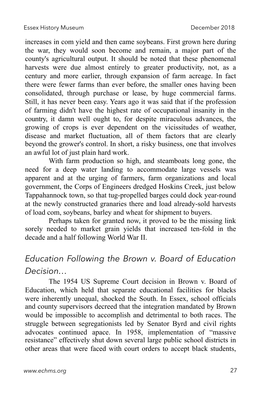increases in com yield and then came soybeans. First grown here during the war, they would soon become and remain, a major part of the county's agricultural output. It should be noted that these phenomenal harvests were due almost entirely to greater productivity, not, as a century and more earlier, through expansion of farm acreage. In fact there were fewer farms than ever before, the smaller ones having been consolidated, through purchase or lease, by huge commercial farms. Still, it has never been easy. Years ago it was said that if the profession of farming didn't have the highest rate of occupational insanity in the country, it damn well ought to, for despite miraculous advances, the growing of crops is ever dependent on the vicissitudes of weather, disease and market fluctuation, all of them factors that are clearly beyond the grower's control. In short, a risky business, one that involves an awful lot of just plain hard work.

With farm production so high, and steamboats long gone, the need for a deep water landing to accommodate large vessels was apparent and at the urging of farmers, farm organizations and local government, the Corps of Engineers dredged Hoskins Creek, just below Tappahannock town, so that tug-propelled barges could dock year-round at the newly constructed granaries there and load already-sold harvests of load com, soybeans, barley and wheat for shipment to buyers.

Perhaps taken for granted now, it proved to be the missing link sorely needed to market grain yields that increased ten-fold in the decade and a half following World War II.

#### *Education Following the Brown v. Board of Education Decision…*

The 1954 US Supreme Court decision in Brown v. Board of Education, which held that separate educational facilities for blacks were inherently unequal, shocked the South. In Essex, school officials and county supervisors decreed that the integration mandated by Brown would be impossible to accomplish and detrimental to both races. The struggle between segregationists led by Senator Byrd and civil rights advocates continued apace. In 1958, implementation of "massive resistance" effectively shut down several large public school districts in other areas that were faced with court orders to accept black students,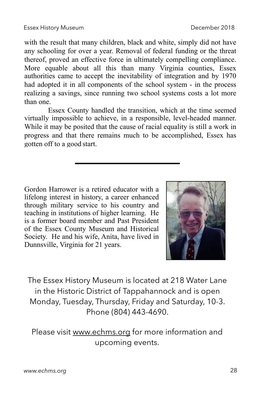with the result that many children, black and white, simply did not have any schooling for over a year. Removal of federal funding or the threat thereof, proved an effective force in ultimately compelling compliance. More equable about all this than many Virginia counties, Essex authorities came to accept the inevitability of integration and by 1970 had adopted it in all components of the school system - in the process realizing a savings, since running two school systems costs a lot more than one.

Essex County handled the transition, which at the time seemed virtually impossible to achieve, in a responsible, level-headed manner. While it may be posited that the cause of racial equality is still a work in progress and that there remains much to be accomplished, Essex has gotten off to a good start.

Gordon Harrower is a retired educator with a lifelong interest in history, a career enhanced through military service to his country and teaching in institutions of higher learning. He is a former board member and Past President of the Essex County Museum and Historical Society. He and his wife, Anita, have lived in Dunnsville, Virginia for 21 years.



The Essex History Museum is located at 218 Water Lane in the Historic District of Tappahannock and is open Monday, Tuesday, Thursday, Friday and Saturday, 10-3. Phone (804) 443-4690.

Please visit [www.echms.org](http://www.echms.org) for more information and upcoming events.